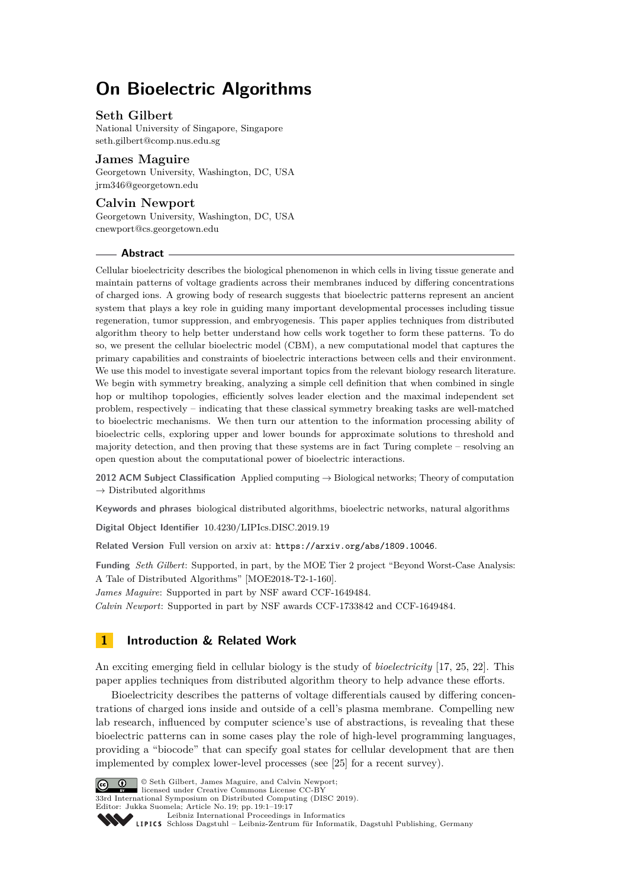# **On Bioelectric Algorithms**

# **Seth Gilbert**

National University of Singapore, Singapore [seth.gilbert@comp.nus.edu.sg](mailto:seth.gilbert@comp.nus.edu.sg)

### **James Maguire**

Georgetown University, Washington, DC, USA [jrm346@georgetown.edu](mailto:jrm346@georgetown.edu)

# **Calvin Newport**

Georgetown University, Washington, DC, USA [cnewport@cs.georgetown.edu](mailto:cnewport@cs.georgetown.edu)

#### **Abstract**

Cellular bioelectricity describes the biological phenomenon in which cells in living tissue generate and maintain patterns of voltage gradients across their membranes induced by differing concentrations of charged ions. A growing body of research suggests that bioelectric patterns represent an ancient system that plays a key role in guiding many important developmental processes including tissue regeneration, tumor suppression, and embryogenesis. This paper applies techniques from distributed algorithm theory to help better understand how cells work together to form these patterns. To do so, we present the cellular bioelectric model (CBM), a new computational model that captures the primary capabilities and constraints of bioelectric interactions between cells and their environment. We use this model to investigate several important topics from the relevant biology research literature. We begin with symmetry breaking, analyzing a simple cell definition that when combined in single hop or multihop topologies, efficiently solves leader election and the maximal independent set problem, respectively – indicating that these classical symmetry breaking tasks are well-matched to bioelectric mechanisms. We then turn our attention to the information processing ability of bioelectric cells, exploring upper and lower bounds for approximate solutions to threshold and majority detection, and then proving that these systems are in fact Turing complete – resolving an open question about the computational power of bioelectric interactions.

**2012 ACM Subject Classification** Applied computing → Biological networks; Theory of computation  $\rightarrow$  Distributed algorithms

**Keywords and phrases** biological distributed algorithms, bioelectric networks, natural algorithms

**Digital Object Identifier** [10.4230/LIPIcs.DISC.2019.19](https://doi.org/10.4230/LIPIcs.DISC.2019.19)

**Related Version** Full version on arxiv at: <https://arxiv.org/abs/1809.10046>.

**Funding** *Seth Gilbert*: Supported, in part, by the MOE Tier 2 project "Beyond Worst-Case Analysis: A Tale of Distributed Algorithms" [MOE2018-T2-1-160].

*James Maguire*: Supported in part by NSF award CCF-1649484.

*Calvin Newport*: Supported in part by NSF awards CCF-1733842 and CCF-1649484.

# <span id="page-0-0"></span>**1 Introduction & Related Work**

An exciting emerging field in cellular biology is the study of *bioelectricity* [\[17,](#page-15-0) [25,](#page-16-0) [22\]](#page-15-1). This paper applies techniques from distributed algorithm theory to help advance these efforts.

Bioelectricity describes the patterns of voltage differentials caused by differing concentrations of charged ions inside and outside of a cell's plasma membrane. Compelling new lab research, influenced by computer science's use of abstractions, is revealing that these bioelectric patterns can in some cases play the role of high-level programming languages, providing a "biocode" that can specify goal states for cellular development that are then implemented by complex lower-level processes (see [\[25\]](#page-16-0) for a recent survey).



**c**  $\begin{bmatrix} \bullet & \bullet \\ \bullet & \bullet \end{bmatrix}$  Seth Gilbert, James Maguire, and Calvin Newport:

licensed under Creative Commons License CC-BY 33rd International Symposium on Distributed Computing (DISC 2019).

Editor: Jukka Suomela; Article No. 19; pp. 19:1–19[:17](#page-16-1)

[Leibniz International Proceedings in Informatics](https://www.dagstuhl.de/lipics/)

[Schloss Dagstuhl – Leibniz-Zentrum für Informatik, Dagstuhl Publishing, Germany](https://www.dagstuhl.de)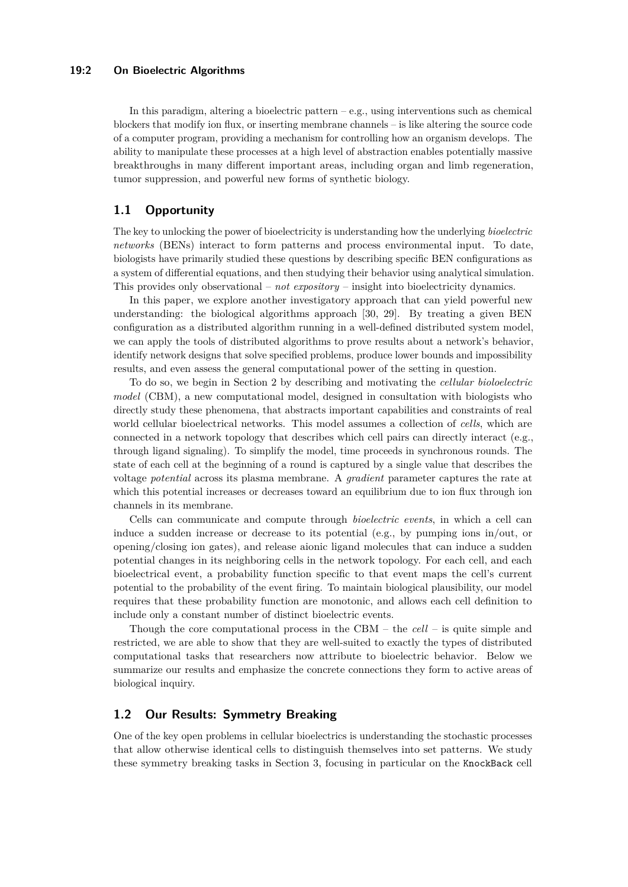### **19:2 On Bioelectric Algorithms**

In this paradigm, altering a bioelectric pattern  $-e.g.,$  using interventions such as chemical blockers that modify ion flux, or inserting membrane channels – is like altering the source code of a computer program, providing a mechanism for controlling how an organism develops. The ability to manipulate these processes at a high level of abstraction enables potentially massive breakthroughs in many different important areas, including organ and limb regeneration, tumor suppression, and powerful new forms of synthetic biology.

# **1.1 Opportunity**

The key to unlocking the power of bioelectricity is understanding how the underlying *bioelectric networks* (BENs) interact to form patterns and process environmental input. To date, biologists have primarily studied these questions by describing specific BEN configurations as a system of differential equations, and then studying their behavior using analytical simulation. This provides only observational – *not expository* – insight into bioelectricity dynamics.

In this paper, we explore another investigatory approach that can yield powerful new understanding: the biological algorithms approach [\[30,](#page-16-2) [29\]](#page-16-3). By treating a given BEN configuration as a distributed algorithm running in a well-defined distributed system model, we can apply the tools of distributed algorithms to prove results about a network's behavior, identify network designs that solve specified problems, produce lower bounds and impossibility results, and even assess the general computational power of the setting in question.

To do so, we begin in Section [2](#page-5-0) by describing and motivating the *cellular bioloelectric model* (CBM), a new computational model, designed in consultation with biologists who directly study these phenomena, that abstracts important capabilities and constraints of real world cellular bioelectrical networks. This model assumes a collection of *cells*, which are connected in a network topology that describes which cell pairs can directly interact (e.g., through ligand signaling). To simplify the model, time proceeds in synchronous rounds. The state of each cell at the beginning of a round is captured by a single value that describes the voltage *potential* across its plasma membrane. A *gradient* parameter captures the rate at which this potential increases or decreases toward an equilibrium due to ion flux through ion channels in its membrane.

Cells can communicate and compute through *bioelectric events*, in which a cell can induce a sudden increase or decrease to its potential (e.g., by pumping ions in/out, or opening/closing ion gates), and release aionic ligand molecules that can induce a sudden potential changes in its neighboring cells in the network topology. For each cell, and each bioelectrical event, a probability function specific to that event maps the cell's current potential to the probability of the event firing. To maintain biological plausibility, our model requires that these probability function are monotonic, and allows each cell definition to include only a constant number of distinct bioelectric events.

Though the core computational process in the CBM – the *cell* – is quite simple and restricted, we are able to show that they are well-suited to exactly the types of distributed computational tasks that researchers now attribute to bioelectric behavior. Below we summarize our results and emphasize the concrete connections they form to active areas of biological inquiry.

# **1.2 Our Results: Symmetry Breaking**

One of the key open problems in cellular bioelectrics is understanding the stochastic processes that allow otherwise identical cells to distinguish themselves into set patterns. We study these symmetry breaking tasks in Section [3,](#page-7-0) focusing in particular on the KnockBack cell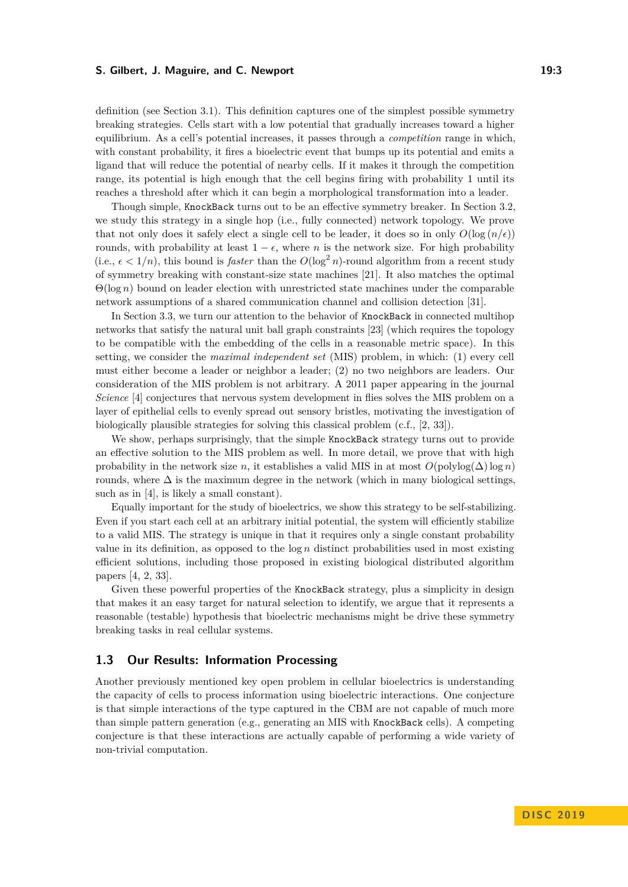#### **S. Gilbert, J. Maguire, and C. Newport 19:3** 19:3

definition (see Section [3.1\)](#page-8-0). This definition captures one of the simplest possible symmetry breaking strategies. Cells start with a low potential that gradually increases toward a higher equilibrium. As a cell's potential increases, it passes through a *competition* range in which, with constant probability, it fires a bioelectric event that bumps up its potential and emits a ligand that will reduce the potential of nearby cells. If it makes it through the competition range, its potential is high enough that the cell begins firing with probability 1 until its reaches a threshold after which it can begin a morphological transformation into a leader.

Though simple, KnockBack turns out to be an effective symmetry breaker. In Section [3.2,](#page-8-1) we study this strategy in a single hop (i.e., fully connected) network topology. We prove that not only does it safely elect a single cell to be leader, it does so in only  $O(\log(n/\epsilon))$ rounds, with probability at least  $1 - \epsilon$ , where *n* is the network size. For high probability (i.e.,  $\epsilon < 1/n$ ), this bound is *faster* than the  $O(\log^2 n)$ -round algorithm from a recent study of symmetry breaking with constant-size state machines [\[21\]](#page-15-2). It also matches the optimal Θ(log *n*) bound on leader election with unrestricted state machines under the comparable network assumptions of a shared communication channel and collision detection [\[31\]](#page-16-4).

In Section [3.3,](#page-10-0) we turn our attention to the behavior of KnockBack in connected multihop networks that satisfy the natural unit ball graph constraints [\[23\]](#page-15-3) (which requires the topology to be compatible with the embedding of the cells in a reasonable metric space). In this setting, we consider the *maximal independent set* (MIS) problem, in which: (1) every cell must either become a leader or neighbor a leader; (2) no two neighbors are leaders. Our consideration of the MIS problem is not arbitrary. A 2011 paper appearing in the journal *Science* [\[4\]](#page-15-4) conjectures that nervous system development in flies solves the MIS problem on a layer of epithelial cells to evenly spread out sensory bristles, motivating the investigation of biologically plausible strategies for solving this classical problem (c.f., [\[2,](#page-14-0) [33\]](#page-16-5)).

We show, perhaps surprisingly, that the simple KnockBack strategy turns out to provide an effective solution to the MIS problem as well. In more detail, we prove that with high probability in the network size *n*, it establishes a valid MIS in at most  $O(\text{polylog}(\Delta) \log n)$ rounds, where  $\Delta$  is the maximum degree in the network (which in many biological settings, such as in [\[4\]](#page-15-4), is likely a small constant).

Equally important for the study of bioelectrics, we show this strategy to be self-stabilizing. Even if you start each cell at an arbitrary initial potential, the system will efficiently stabilize to a valid MIS. The strategy is unique in that it requires only a single constant probability value in its definition, as opposed to the log *n* distinct probabilities used in most existing efficient solutions, including those proposed in existing biological distributed algorithm papers [\[4,](#page-15-4) [2,](#page-14-0) [33\]](#page-16-5).

Given these powerful properties of the KnockBack strategy, plus a simplicity in design that makes it an easy target for natural selection to identify, we argue that it represents a reasonable (testable) hypothesis that bioelectric mechanisms might be drive these symmetry breaking tasks in real cellular systems.

### **1.3 Our Results: Information Processing**

Another previously mentioned key open problem in cellular bioelectrics is understanding the capacity of cells to process information using bioelectric interactions. One conjecture is that simple interactions of the type captured in the CBM are not capable of much more than simple pattern generation (e.g., generating an MIS with KnockBack cells). A competing conjecture is that these interactions are actually capable of performing a wide variety of non-trivial computation.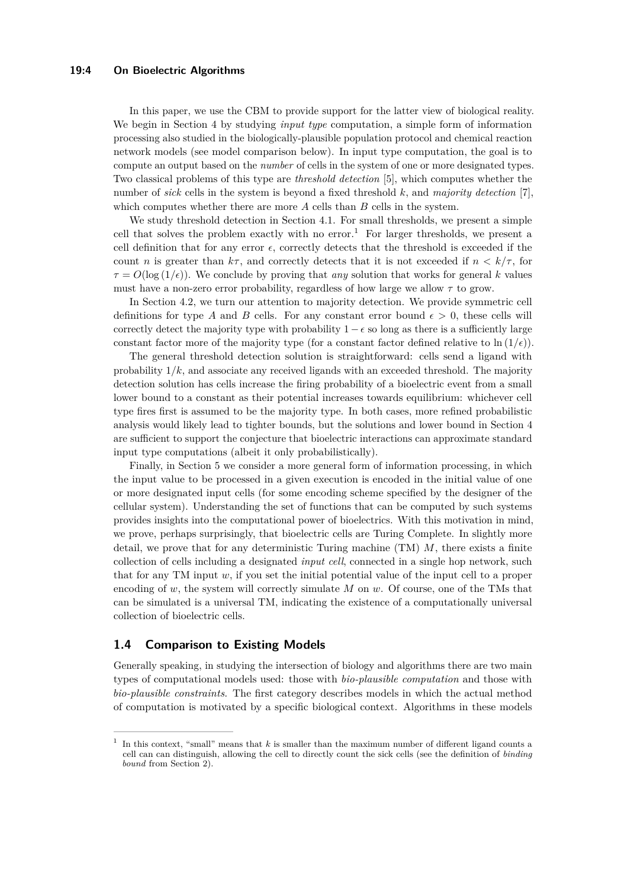In this paper, we use the CBM to provide support for the latter view of biological reality. We begin in Section [4](#page-13-0) by studying *input type* computation, a simple form of information processing also studied in the biologically-plausible population protocol and chemical reaction network models (see model comparison below). In input type computation, the goal is to compute an output based on the *number* of cells in the system of one or more designated types. Two classical problems of this type are *threshold detection* [\[5\]](#page-15-5), which computes whether the number of *sick* cells in the system is beyond a fixed threshold *k*, and *majority detection* [\[7\]](#page-15-6), which computes whether there are more *A* cells than *B* cells in the system.

We study threshold detection in Section [4.1.](#page-13-1) For small thresholds, we present a simple cell that solves the problem exactly with no error.<sup>[1](#page-3-0)</sup> For larger thresholds, we present a cell definition that for any error  $\epsilon$ , correctly detects that the threshold is exceeded if the count *n* is greater than  $k\tau$ , and correctly detects that it is not exceeded if  $n < k/\tau$ , for  $\tau = O(\log(1/\epsilon))$ . We conclude by proving that *any* solution that works for general *k* values must have a non-zero error probability, regardless of how large we allow  $\tau$  to grow.

In Section [4.2,](#page-14-1) we turn our attention to majority detection. We provide symmetric cell definitions for type *A* and *B* cells. For any constant error bound  $\epsilon > 0$ , these cells will correctly detect the majority type with probability  $1 - \epsilon$  so long as there is a sufficiently large constant factor more of the majority type (for a constant factor defined relative to  $\ln(1/\epsilon)$ ).

The general threshold detection solution is straightforward: cells send a ligand with probability  $1/k$ , and associate any received ligands with an exceeded threshold. The majority detection solution has cells increase the firing probability of a bioelectric event from a small lower bound to a constant as their potential increases towards equilibrium: whichever cell type fires first is assumed to be the majority type. In both cases, more refined probabilistic analysis would likely lead to tighter bounds, but the solutions and lower bound in Section [4](#page-13-0) are sufficient to support the conjecture that bioelectric interactions can approximate standard input type computations (albeit it only probabilistically).

Finally, in Section [5](#page-14-2) we consider a more general form of information processing, in which the input value to be processed in a given execution is encoded in the initial value of one or more designated input cells (for some encoding scheme specified by the designer of the cellular system). Understanding the set of functions that can be computed by such systems provides insights into the computational power of bioelectrics. With this motivation in mind, we prove, perhaps surprisingly, that bioelectric cells are Turing Complete. In slightly more detail, we prove that for any deterministic Turing machine (TM) *M*, there exists a finite collection of cells including a designated *input cell*, connected in a single hop network, such that for any TM input *w*, if you set the initial potential value of the input cell to a proper encoding of *w*, the system will correctly simulate *M* on *w*. Of course, one of the TMs that can be simulated is a universal TM, indicating the existence of a computationally universal collection of bioelectric cells.

### **1.4 Comparison to Existing Models**

Generally speaking, in studying the intersection of biology and algorithms there are two main types of computational models used: those with *bio-plausible computation* and those with *bio-plausible constraints*. The first category describes models in which the actual method of computation is motivated by a specific biological context. Algorithms in these models

<span id="page-3-0"></span><sup>1</sup> In this context, "small" means that *k* is smaller than the maximum number of different ligand counts a cell can can distinguish, allowing the cell to directly count the sick cells (see the definition of *binding bound* from Section [2\)](#page-5-0).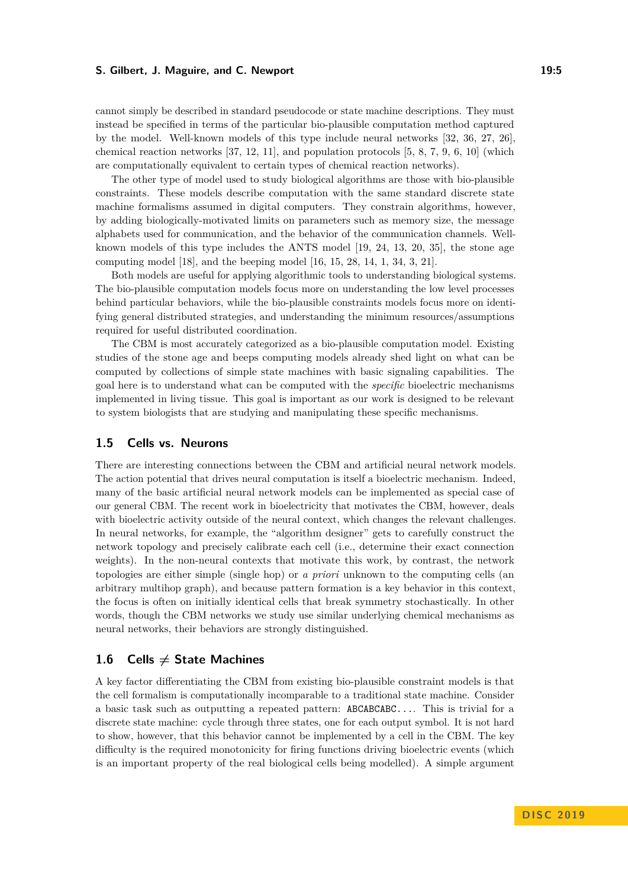#### **S. Gilbert, J. Maguire, and C. Newport 19:5** 19:5

cannot simply be described in standard pseudocode or state machine descriptions. They must instead be specified in terms of the particular bio-plausible computation method captured by the model. Well-known models of this type include neural networks [\[32,](#page-16-6) [36,](#page-16-7) [27,](#page-16-8) [26\]](#page-16-9), chemical reaction networks [\[37,](#page-16-10) [12,](#page-15-7) [11\]](#page-15-8), and population protocols [\[5,](#page-15-5) [8,](#page-15-9) [7,](#page-15-6) [9,](#page-15-10) [6,](#page-15-11) [10\]](#page-15-12) (which are computationally equivalent to certain types of chemical reaction networks).

The other type of model used to study biological algorithms are those with bio-plausible constraints. These models describe computation with the same standard discrete state machine formalisms assumed in digital computers. They constrain algorithms, however, by adding biologically-motivated limits on parameters such as memory size, the message alphabets used for communication, and the behavior of the communication channels. Wellknown models of this type includes the ANTS model [\[19,](#page-15-13) [24,](#page-16-11) [13,](#page-15-14) [20,](#page-15-15) [35\]](#page-16-12), the stone age computing model [\[18\]](#page-15-16), and the beeping model [\[16,](#page-15-17) [15,](#page-15-18) [28,](#page-16-13) [14,](#page-15-19) [1,](#page-14-3) [34,](#page-16-14) [3,](#page-15-20) [21\]](#page-15-2).

Both models are useful for applying algorithmic tools to understanding biological systems. The bio-plausible computation models focus more on understanding the low level processes behind particular behaviors, while the bio-plausible constraints models focus more on identifying general distributed strategies, and understanding the minimum resources/assumptions required for useful distributed coordination.

The CBM is most accurately categorized as a bio-plausible computation model. Existing studies of the stone age and beeps computing models already shed light on what can be computed by collections of simple state machines with basic signaling capabilities. The goal here is to understand what can be computed with the *specific* bioelectric mechanisms implemented in living tissue. This goal is important as our work is designed to be relevant to system biologists that are studying and manipulating these specific mechanisms.

### **1.5 Cells vs. Neurons**

There are interesting connections between the CBM and artificial neural network models. The action potential that drives neural computation is itself a bioelectric mechanism. Indeed, many of the basic artificial neural network models can be implemented as special case of our general CBM. The recent work in bioelectricity that motivates the CBM, however, deals with bioelectric activity outside of the neural context, which changes the relevant challenges. In neural networks, for example, the "algorithm designer" gets to carefully construct the network topology and precisely calibrate each cell (i.e., determine their exact connection weights). In the non-neural contexts that motivate this work, by contrast, the network topologies are either simple (single hop) or *a priori* unknown to the computing cells (an arbitrary multihop graph), and because pattern formation is a key behavior in this context, the focus is often on initially identical cells that break symmetry stochastically. In other words, though the CBM networks we study use similar underlying chemical mechanisms as neural networks, their behaviors are strongly distinguished.

### 1.6 Cells  $\neq$  State Machines

A key factor differentiating the CBM from existing bio-plausible constraint models is that the cell formalism is computationally incomparable to a traditional state machine. Consider a basic task such as outputting a repeated pattern: ABCABCABC.... This is trivial for a discrete state machine: cycle through three states, one for each output symbol. It is not hard to show, however, that this behavior cannot be implemented by a cell in the CBM. The key difficulty is the required monotonicity for firing functions driving bioelectric events (which is an important property of the real biological cells being modelled). A simple argument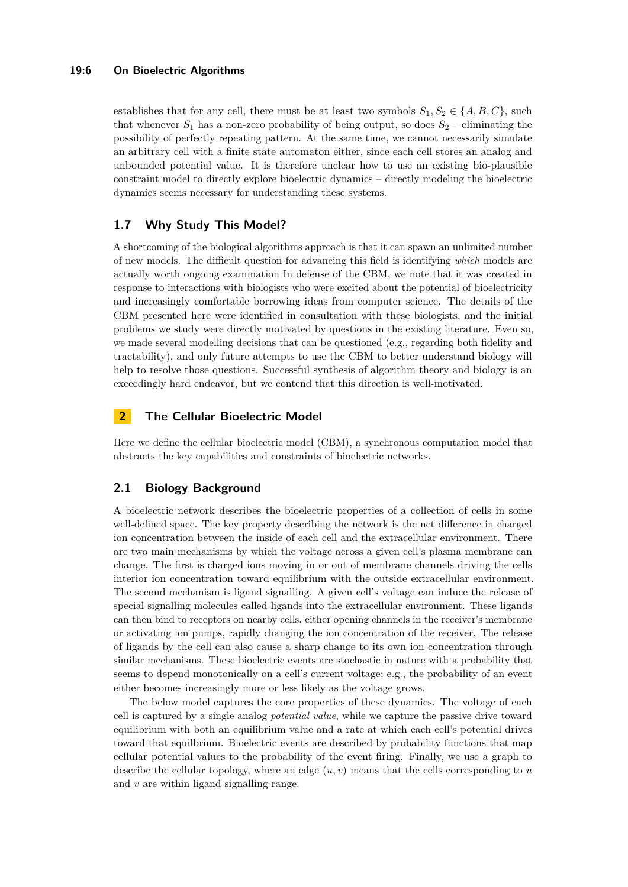#### **19:6 On Bioelectric Algorithms**

establishes that for any cell, there must be at least two symbols  $S_1, S_2 \in \{A, B, C\}$ , such that whenever  $S_1$  has a non-zero probability of being output, so does  $S_2$  – eliminating the possibility of perfectly repeating pattern. At the same time, we cannot necessarily simulate an arbitrary cell with a finite state automaton either, since each cell stores an analog and unbounded potential value. It is therefore unclear how to use an existing bio-plausible constraint model to directly explore bioelectric dynamics – directly modeling the bioelectric dynamics seems necessary for understanding these systems.

# **1.7 Why Study This Model?**

A shortcoming of the biological algorithms approach is that it can spawn an unlimited number of new models. The difficult question for advancing this field is identifying *which* models are actually worth ongoing examination In defense of the CBM, we note that it was created in response to interactions with biologists who were excited about the potential of bioelectricity and increasingly comfortable borrowing ideas from computer science. The details of the CBM presented here were identified in consultation with these biologists, and the initial problems we study were directly motivated by questions in the existing literature. Even so, we made several modelling decisions that can be questioned (e.g., regarding both fidelity and tractability), and only future attempts to use the CBM to better understand biology will help to resolve those questions. Successful synthesis of algorithm theory and biology is an exceedingly hard endeavor, but we contend that this direction is well-motivated.

# <span id="page-5-0"></span>**2 The Cellular Bioelectric Model**

Here we define the cellular bioelectric model (CBM), a synchronous computation model that abstracts the key capabilities and constraints of bioelectric networks.

# **2.1 Biology Background**

A bioelectric network describes the bioelectric properties of a collection of cells in some well-defined space. The key property describing the network is the net difference in charged ion concentration between the inside of each cell and the extracellular environment. There are two main mechanisms by which the voltage across a given cell's plasma membrane can change. The first is charged ions moving in or out of membrane channels driving the cells interior ion concentration toward equilibrium with the outside extracellular environment. The second mechanism is ligand signalling. A given cell's voltage can induce the release of special signalling molecules called ligands into the extracellular environment. These ligands can then bind to receptors on nearby cells, either opening channels in the receiver's membrane or activating ion pumps, rapidly changing the ion concentration of the receiver. The release of ligands by the cell can also cause a sharp change to its own ion concentration through similar mechanisms. These bioelectric events are stochastic in nature with a probability that seems to depend monotonically on a cell's current voltage; e.g., the probability of an event either becomes increasingly more or less likely as the voltage grows.

The below model captures the core properties of these dynamics. The voltage of each cell is captured by a single analog *potential value*, while we capture the passive drive toward equilibrium with both an equilibrium value and a rate at which each cell's potential drives toward that equilbrium. Bioelectric events are described by probability functions that map cellular potential values to the probability of the event firing. Finally, we use a graph to describe the cellular topology, where an edge  $(u, v)$  means that the cells corresponding to  $u$ and *v* are within ligand signalling range.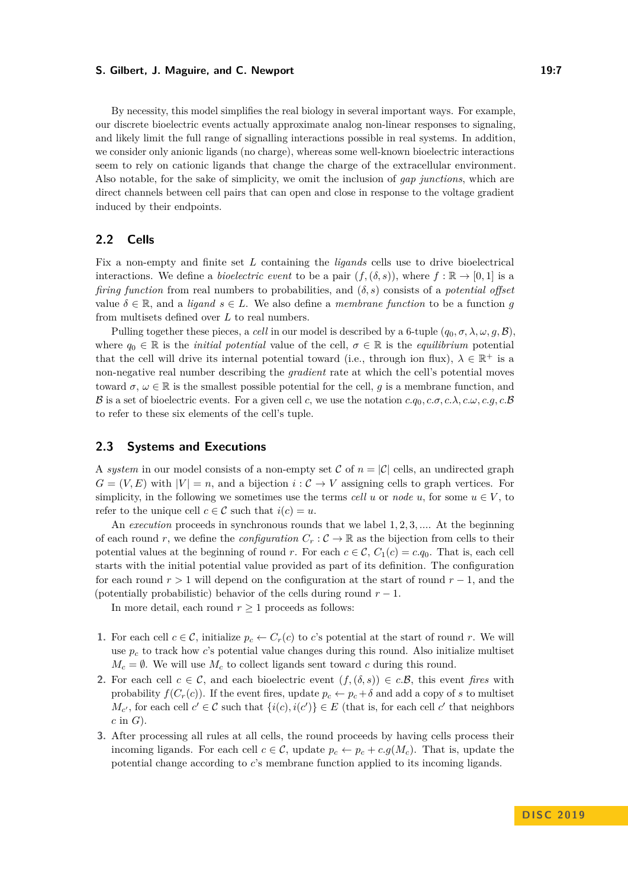#### **S. Gilbert, J. Maguire, and C. Newport 19:7** 19:7

By necessity, this model simplifies the real biology in several important ways. For example, our discrete bioelectric events actually approximate analog non-linear responses to signaling, and likely limit the full range of signalling interactions possible in real systems. In addition, we consider only anionic ligands (no charge), whereas some well-known bioelectric interactions seem to rely on cationic ligands that change the charge of the extracellular environment. Also notable, for the sake of simplicity, we omit the inclusion of *gap junctions*, which are direct channels between cell pairs that can open and close in response to the voltage gradient induced by their endpoints.

# **2.2 Cells**

Fix a non-empty and finite set *L* containing the *ligands* cells use to drive bioelectrical interactions. We define a *bioelectric event* to be a pair  $(f,(\delta, s))$ , where  $f : \mathbb{R} \to [0,1]$  is a *firing function* from real numbers to probabilities, and (*δ, s*) consists of a *potential offset* value  $\delta \in \mathbb{R}$ , and a *ligand*  $s \in L$ . We also define a *membrane function* to be a function *g* from multisets defined over *L* to real numbers.

Pulling together these pieces, a *cell* in our model is described by a 6-tuple  $(q_0, \sigma, \lambda, \omega, q, \mathcal{B})$ . where  $q_0 \in \mathbb{R}$  is the *initial potential* value of the cell,  $\sigma \in \mathbb{R}$  is the *equilibrium* potential that the cell will drive its internal potential toward (i.e., through ion flux),  $\lambda \in \mathbb{R}^+$  is a non-negative real number describing the *gradient* rate at which the cell's potential moves toward  $\sigma, \omega \in \mathbb{R}$  is the smallest possible potential for the cell, *q* is a membrane function, and B is a set of bioelectric events. For a given cell c, we use the notation  $c.q_0, c.\sigma, c.\lambda, c.\omega, c.g, c.\mathcal{B}$ to refer to these six elements of the cell's tuple.

# **2.3 Systems and Executions**

A *system* in our model consists of a non-empty set C of  $n = |\mathcal{C}|$  cells, an undirected graph  $G = (V, E)$  with  $|V| = n$ , and a bijection  $i: \mathcal{C} \to V$  assigning cells to graph vertices. For simplicity, in the following we sometimes use the terms *cell*  $u$  or *node*  $u$ , for some  $u \in V$ , to refer to the unique cell  $c \in \mathcal{C}$  such that  $i(c) = u$ .

An *execution* proceeds in synchronous rounds that we label 1*,* 2*,* 3*, ...*. At the beginning of each round *r*, we define the *configuration*  $C_r : \mathcal{C} \to \mathbb{R}$  as the bijection from cells to their potential values at the beginning of round *r*. For each  $c \in \mathcal{C}$ ,  $C_1(c) = c.q_0$ . That is, each cell starts with the initial potential value provided as part of its definition. The configuration for each round *r >* 1 will depend on the configuration at the start of round *r* − 1, and the (potentially probabilistic) behavior of the cells during round  $r - 1$ .

In more detail, each round  $r \geq 1$  proceeds as follows:

- **1.** For each cell  $c \in \mathcal{C}$ , initialize  $p_c \leftarrow C_r(c)$  to *c*'s potential at the start of round *r*. We will use  $p_c$  to track how *c*'s potential value changes during this round. Also initialize multiset  $M_c = \emptyset$ . We will use  $M_c$  to collect ligands sent toward *c* during this round.
- **2.** For each cell  $c \in \mathcal{C}$ , and each bioelectric event  $(f,(\delta, s)) \in c.\mathcal{B}$ , this event *fires* with probability  $f(C_r(c))$ . If the event fires, update  $p_c \leftarrow p_c + \delta$  and add a copy of *s* to multiset  $M_{c'}$ , for each cell  $c' \in \mathcal{C}$  such that  $\{i(c), i(c')\} \in E$  (that is, for each cell  $c'$  that neighbors *c* in *G*).
- **3.** After processing all rules at all cells, the round proceeds by having cells process their incoming ligands. For each cell  $c \in \mathcal{C}$ , update  $p_c \leftarrow p_c + c.g(M_c)$ . That is, update the potential change according to *c*'s membrane function applied to its incoming ligands.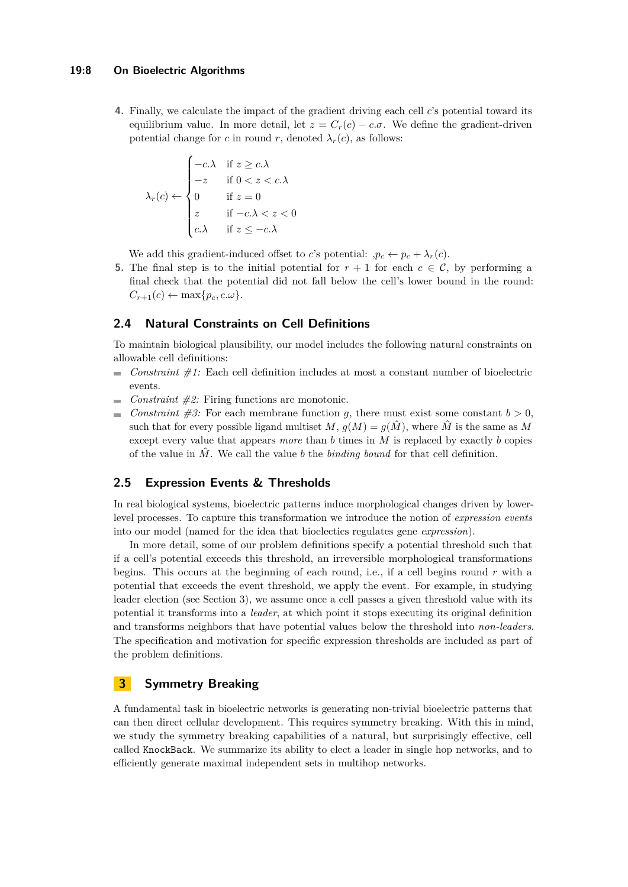#### **19:8 On Bioelectric Algorithms**

**4.** Finally, we calculate the impact of the gradient driving each cell *c*'s potential toward its equilibrium value. In more detail, let  $z = C_r(c) - c.\sigma$ . We define the gradient-driven potential change for *c* in round *r*, denoted  $\lambda_r(c)$ , as follows:

$$
\lambda_r(c) \leftarrow \begin{cases}\n-c.\lambda & \text{if } z \ge c.\lambda \\
-z & \text{if } 0 < z < c.\lambda \\
0 & \text{if } z = 0 \\
z & \text{if } -c.\lambda < z < 0 \\
c.\lambda & \text{if } z \le -c.\lambda\n\end{cases}
$$

We add this gradient-induced offset to *c*'s potential:  $p_c \leftarrow p_c + \lambda_r(c)$ .

**5.** The final step is to the initial potential for  $r + 1$  for each  $c \in \mathcal{C}$ , by performing a final check that the potential did not fall below the cell's lower bound in the round:  $C_{r+1}(c) \leftarrow \max\{p_c, c \omega\}.$ 

# **2.4 Natural Constraints on Cell Definitions**

To maintain biological plausibility, our model includes the following natural constraints on allowable cell definitions:

- $\blacksquare$  *Constraint #1:* Each cell definition includes at most a constant number of bioelectric events.
- *Constraint #2:* Firing functions are monotonic.  $\sim$
- *Constraint*  $\#3$ *:* For each membrane function *q*, there must exist some constant  $b > 0$ , such that for every possible ligand multiset  $M$ ,  $g(M) = g(\hat{M})$ , where  $\hat{M}$  is the same as M except every value that appears *more* than *b* times in *M* is replaced by exactly *b* copies of the value in  $\hat{M}$ . We call the value *b* the *binding bound* for that cell definition.

# **2.5 Expression Events & Thresholds**

In real biological systems, bioelectric patterns induce morphological changes driven by lowerlevel processes. To capture this transformation we introduce the notion of *expression events* into our model (named for the idea that bioelectics regulates gene *expression*).

In more detail, some of our problem definitions specify a potential threshold such that if a cell's potential exceeds this threshold, an irreversible morphological transformations begins. This occurs at the beginning of each round, i.e., if a cell begins round *r* with a potential that exceeds the event threshold, we apply the event. For example, in studying leader election (see Section [3\)](#page-7-0), we assume once a cell passes a given threshold value with its potential it transforms into a *leader*, at which point it stops executing its original definition and transforms neighbors that have potential values below the threshold into *non-leaders*. The specification and motivation for specific expression thresholds are included as part of the problem definitions.

# <span id="page-7-0"></span>**3 Symmetry Breaking**

A fundamental task in bioelectric networks is generating non-trivial bioelectric patterns that can then direct cellular development. This requires symmetry breaking. With this in mind, we study the symmetry breaking capabilities of a natural, but surprisingly effective, cell called KnockBack. We summarize its ability to elect a leader in single hop networks, and to efficiently generate maximal independent sets in multihop networks.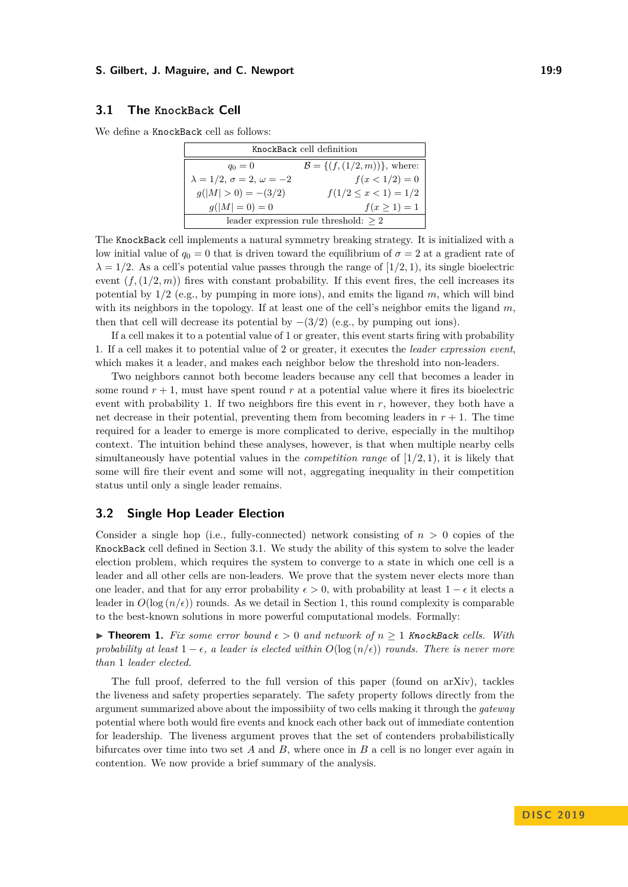#### **S. Gilbert, J. Maguire, and C. Newport 19:9** 20:00 19:9

### <span id="page-8-0"></span>**3.1 The KnockBack Cell**

We define a KnockBack cell as follows:

| KnockBack cell definition                  |                                            |  |
|--------------------------------------------|--------------------------------------------|--|
| $q_0 = 0$                                  | $\mathcal{B} = \{(f, (1/2, m))\},\$ where: |  |
| $\lambda = 1/2, \sigma = 2, \omega = -2$   | $f(x < 1/2) = 0$                           |  |
| $q( M  > 0) = -(3/2)$                      | $f(1/2 \leq x < 1) = 1/2$                  |  |
| $g( M =0) = 0$                             | $f(x \ge 1) = 1$                           |  |
| leader expression rule threshold: $\geq 2$ |                                            |  |

The KnockBack cell implements a natural symmetry breaking strategy. It is initialized with a low initial value of  $q_0 = 0$  that is driven toward the equilibrium of  $\sigma = 2$  at a gradient rate of  $\lambda = 1/2$ . As a cell's potential value passes through the range of  $(1/2, 1)$ , its single bioelectric event  $(f, (1/2, m))$  fires with constant probability. If this event fires, the cell increases its potential by 1*/*2 (e.g., by pumping in more ions), and emits the ligand *m*, which will bind with its neighbors in the topology. If at least one of the cell's neighbor emits the ligand *m*, then that cell will decrease its potential by  $-(3/2)$  (e.g., by pumping out ions).

If a cell makes it to a potential value of 1 or greater, this event starts firing with probability 1. If a cell makes it to potential value of 2 or greater, it executes the *leader expression event*, which makes it a leader, and makes each neighbor below the threshold into non-leaders.

Two neighbors cannot both become leaders because any cell that becomes a leader in some round  $r + 1$ , must have spent round  $r$  at a potential value where it fires its bioelectric event with probability 1. If two neighbors fire this event in  $r$ , however, they both have a net decrease in their potential, preventing them from becoming leaders in  $r + 1$ . The time required for a leader to emerge is more complicated to derive, especially in the multihop context. The intuition behind these analyses, however, is that when multiple nearby cells simultaneously have potential values in the *competition range* of [1*/*2*,* 1), it is likely that some will fire their event and some will not, aggregating inequality in their competition status until only a single leader remains.

### <span id="page-8-1"></span>**3.2 Single Hop Leader Election**

Consider a single hop (i.e., fully-connected) network consisting of  $n > 0$  copies of the KnockBack cell defined in Section [3.1.](#page-8-0) We study the ability of this system to solve the leader election problem, which requires the system to converge to a state in which one cell is a leader and all other cells are non-leaders. We prove that the system never elects more than one leader, and that for any error probability  $\epsilon > 0$ , with probability at least  $1 - \epsilon$  it elects a leader in  $O(\log(n/\epsilon))$  rounds. As we detail in Section [1,](#page-0-0) this round complexity is comparable to the best-known solutions in more powerful computational models. Formally:

▶ **Theorem 1.** Fix some error bound  $\epsilon > 0$  and network of  $n \ge 1$  KnockBack cells. With *probability at least*  $1 - \epsilon$ , *a leader is elected within*  $O(\log(n/\epsilon))$  *rounds. There is never more than* 1 *leader elected.*

The full proof, deferred to the full version of this paper (found on arXiv), tackles the liveness and safety properties separately. The safety property follows directly from the argument summarized above about the impossibiity of two cells making it through the *gateway* potential where both would fire events and knock each other back out of immediate contention for leadership. The liveness argument proves that the set of contenders probabilistically bifurcates over time into two set *A* and *B*, where once in *B* a cell is no longer ever again in contention. We now provide a brief summary of the analysis.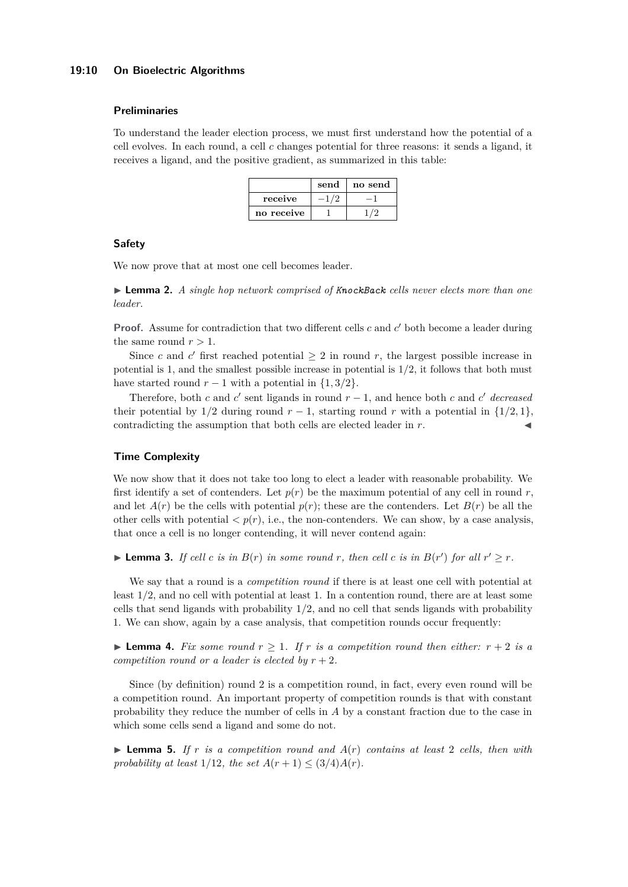#### **19:10 On Bioelectric Algorithms**

#### **Preliminaries**

To understand the leader election process, we must first understand how the potential of a cell evolves. In each round, a cell *c* changes potential for three reasons: it sends a ligand, it receives a ligand, and the positive gradient, as summarized in this table:

|            | send | no send |
|------------|------|---------|
| receive    | 1/9  |         |
| no receive |      |         |

#### **Safety**

<span id="page-9-0"></span>We now prove that at most one cell becomes leader.

I **Lemma 2.** *A single hop network comprised of KnockBack cells never elects more than one leader.*

**Proof.** Assume for contradiction that two different cells *c* and *c*' both become a leader during the same round  $r > 1$ .

Since *c* and *c*<sup> $\prime$ </sup> first reached potential  $\geq 2$  in round *r*, the largest possible increase in potential is 1, and the smallest possible increase in potential is 1*/*2, it follows that both must have started round  $r - 1$  with a potential in  $\{1, 3/2\}$ .

Therefore, both *c* and  $c'$  sent ligands in round  $r - 1$ , and hence both *c* and  $c'$  decreased their potential by  $1/2$  during round  $r - 1$ , starting round  $r$  with a potential in  $\{1/2, 1\}$ , contradicting the assumption that both cells are elected leader in  $r$ .

#### **Time Complexity**

We now show that it does not take too long to elect a leader with reasonable probability. We first identify a set of contenders. Let  $p(r)$  be the maximum potential of any cell in round r, and let  $A(r)$  be the cells with potential  $p(r)$ ; these are the contenders. Let  $B(r)$  be all the other cells with potential  $\langle p(r), i.e.,$  the non-contenders. We can show, by a case analysis, that once a cell is no longer contending, it will never contend again:

**Example 1** *Coll c is in*  $B(r)$  *in some round r, then cell c is in*  $B(r')$  *for all*  $r' \geq r$ *.* 

We say that a round is a *competition round* if there is at least one cell with potential at least 1*/*2, and no cell with potential at least 1. In a contention round, there are at least some cells that send ligands with probability 1*/*2, and no cell that sends ligands with probability 1. We can show, again by a case analysis, that competition rounds occur frequently:

**Example 4.** Fix some round  $r > 1$ . If r is a competition round then either:  $r + 2$  is a *competition round or a leader is elected by*  $r + 2$ *.* 

Since (by definition) round 2 is a competition round, in fact, every even round will be a competition round. An important property of competition rounds is that with constant probability they reduce the number of cells in *A* by a constant fraction due to the case in which some cells send a ligand and some do not.

 $\triangleright$  **Lemma 5.** If r is a competition round and  $A(r)$  contains at least 2 cells, then with *probability at least*  $1/12$ *, the set*  $A(r + 1) \leq (3/4)A(r)$ *.*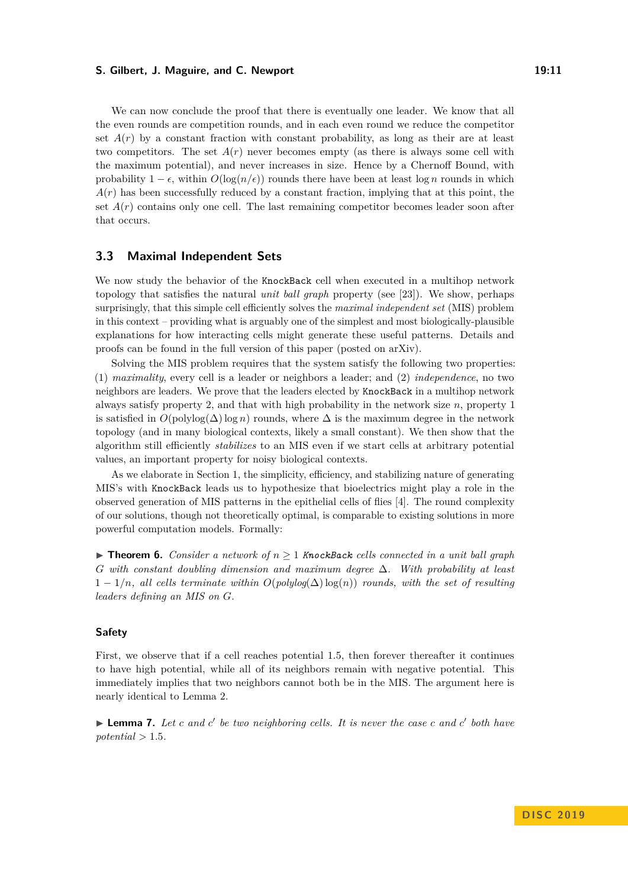#### **S. Gilbert, J. Maguire, and C. Newport 19:11**

We can now conclude the proof that there is eventually one leader. We know that all the even rounds are competition rounds, and in each even round we reduce the competitor set  $A(r)$  by a constant fraction with constant probability, as long as their are at least two competitors. The set  $A(r)$  never becomes empty (as there is always some cell with the maximum potential), and never increases in size. Hence by a Chernoff Bound, with probability  $1 - \epsilon$ , within  $O(\log(n/\epsilon))$  rounds there have been at least  $\log n$  rounds in which  $A(r)$  has been successfully reduced by a constant fraction, implying that at this point, the set  $A(r)$  contains only one cell. The last remaining competitor becomes leader soon after that occurs.

### <span id="page-10-0"></span>**3.3 Maximal Independent Sets**

We now study the behavior of the KnockBack cell when executed in a multihop network topology that satisfies the natural *unit ball graph* property (see [\[23\]](#page-15-3)). We show, perhaps surprisingly, that this simple cell efficiently solves the *maximal independent set* (MIS) problem in this context – providing what is arguably one of the simplest and most biologically-plausible explanations for how interacting cells might generate these useful patterns. Details and proofs can be found in the full version of this paper (posted on arXiv).

Solving the MIS problem requires that the system satisfy the following two properties: (1) *maximality*, every cell is a leader or neighbors a leader; and (2) *independence*, no two neighbors are leaders. We prove that the leaders elected by KnockBack in a multihop network always satisfy property 2, and that with high probability in the network size *n*, property 1 is satisfied in  $O(\text{polylog}(\Delta) \log n)$  rounds, where  $\Delta$  is the maximum degree in the network topology (and in many biological contexts, likely a small constant). We then show that the algorithm still efficiently *stabilizes* to an MIS even if we start cells at arbitrary potential values, an important property for noisy biological contexts.

As we elaborate in Section [1,](#page-0-0) the simplicity, efficiency, and stabilizing nature of generating MIS's with KnockBack leads us to hypothesize that bioelectrics might play a role in the observed generation of MIS patterns in the epithelial cells of flies [\[4\]](#page-15-4). The round complexity of our solutions, though not theoretically optimal, is comparable to existing solutions in more powerful computation models. Formally:

<span id="page-10-1"></span>**► Theorem 6.** *Consider a network of*  $n \ge 1$  *KnockBack cells connected in a unit ball graph G with constant doubling dimension and maximum degree* ∆*. With probability at least* 1 − 1*/n, all cells terminate within O*(*polylog*(∆)log(*n*)) *rounds, with the set of resulting leaders defining an MIS on G.*

### **Safety**

First, we observe that if a cell reaches potential 1*.*5, then forever thereafter it continues to have high potential, while all of its neighbors remain with negative potential. This immediately implies that two neighbors cannot both be in the MIS. The argument here is nearly identical to Lemma [2.](#page-9-0)

▶ **Lemma 7.** *Let c and c*<sup>'</sup> *be two neighboring cells. It is never the case c and c*<sup>'</sup> *both have*  $potential > 1.5$ .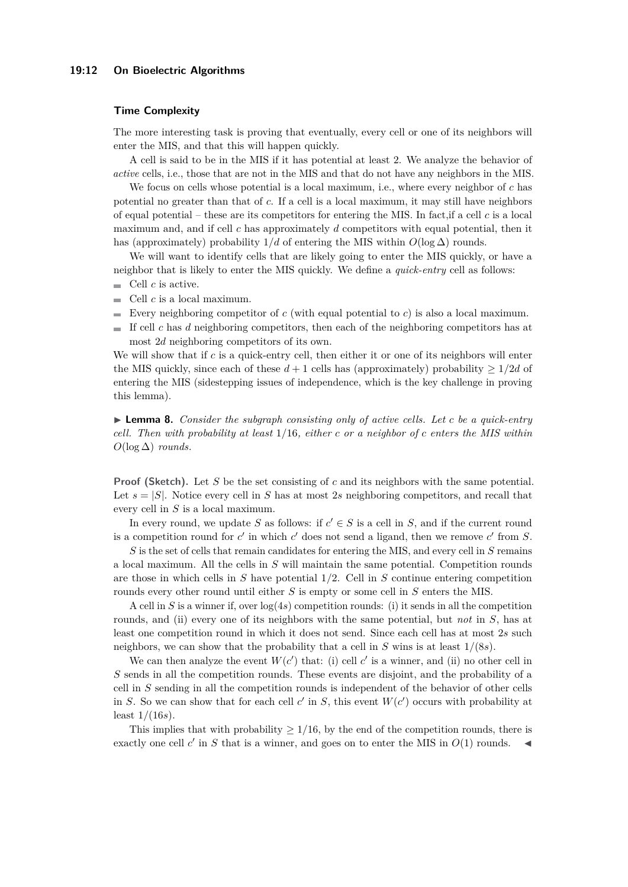#### **19:12 On Bioelectric Algorithms**

#### **Time Complexity**

The more interesting task is proving that eventually, every cell or one of its neighbors will enter the MIS, and that this will happen quickly.

A cell is said to be in the MIS if it has potential at least 2. We analyze the behavior of *active* cells, i.e., those that are not in the MIS and that do not have any neighbors in the MIS.

We focus on cells whose potential is a local maximum, i.e., where every neighbor of *c* has potential no greater than that of *c*. If a cell is a local maximum, it may still have neighbors of equal potential – these are its competitors for entering the MIS. In fact,if a cell *c* is a local maximum and, and if cell *c* has approximately *d* competitors with equal potential, then it has (approximately) probability  $1/d$  of entering the MIS within  $O(\log \Delta)$  rounds.

We will want to identify cells that are likely going to enter the MIS quickly, or have a neighbor that is likely to enter the MIS quickly. We define a *quick-entry* cell as follows:

- $\mathbf{r}$ Cell *c* is active.
- $\blacksquare$  Cell *c* is a local maximum.
- Every neighboring competitor of  $c$  (with equal potential to  $c$ ) is also a local maximum.
- If cell c has d neighboring competitors, then each of the neighboring competitors has at most 2*d* neighboring competitors of its own.

We will show that if *c* is a quick-entry cell, then either it or one of its neighbors will enter the MIS quickly, since each of these  $d+1$  cells has (approximately) probability  $\geq 1/2d$  of entering the MIS (sidestepping issues of independence, which is the key challenge in proving this lemma).

I **Lemma 8.** *Consider the subgraph consisting only of active cells. Let c be a quick-entry cell. Then with probability at least* 1*/*16*, either c or a neighbor of c enters the MIS within O*(log ∆) *rounds.*

**Proof (Sketch).** Let *S* be the set consisting of *c* and its neighbors with the same potential. Let  $s = |S|$ . Notice every cell in *S* has at most 2*s* neighboring competitors, and recall that every cell in *S* is a local maximum.

In every round, we update *S* as follows: if  $c' \in S$  is a cell in *S*, and if the current round is a competition round for  $c'$  in which  $c'$  does not send a ligand, then we remove  $c'$  from  $S$ .

*S* is the set of cells that remain candidates for entering the MIS, and every cell in *S* remains a local maximum. All the cells in *S* will maintain the same potential. Competition rounds are those in which cells in *S* have potential 1*/*2. Cell in *S* continue entering competition rounds every other round until either *S* is empty or some cell in *S* enters the MIS.

A cell in *S* is a winner if, over  $\log(4s)$  competition rounds: (i) it sends in all the competition rounds, and (ii) every one of its neighbors with the same potential, but *not* in *S*, has at least one competition round in which it does not send. Since each cell has at most 2*s* such neighbors, we can show that the probability that a cell in *S* wins is at least 1*/*(8*s*).

We can then analyze the event  $W(c')$  that: (i) cell  $c'$  is a winner, and (ii) no other cell in *S* sends in all the competition rounds. These events are disjoint, and the probability of a cell in *S* sending in all the competition rounds is independent of the behavior of other cells in *S*. So we can show that for each cell  $c'$  in *S*, this event  $W(c')$  occurs with probability at least 1*/*(16*s*).

This implies that with probability  $\geq 1/16$ , by the end of the competition rounds, there is exactly one cell  $c'$  in  $S$  that is a winner, and goes on to enter the MIS in  $O(1)$  rounds.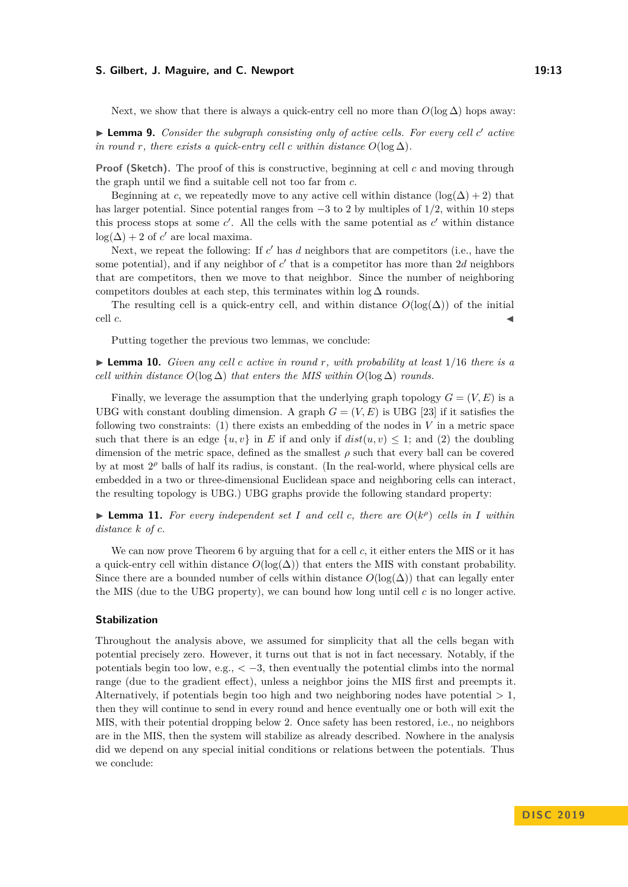#### **S. Gilbert, J. Maguire, and C. Newport 19:13**

Next, we show that there is always a quick-entry cell no more than  $O(\log \Delta)$  hops away:

▶ **Lemma 9.** *Consider the subgraph consisting only of active cells. For every cell c' active in round r, there exists a quick-entry cell c within distance*  $O(\log \Delta)$ *.* 

**Proof (Sketch).** The proof of this is constructive, beginning at cell *c* and moving through the graph until we find a suitable cell not too far from *c*.

Beginning at *c*, we repeatedly move to any active cell within distance  $(\log(\Delta) + 2)$  that has larger potential. Since potential ranges from −3 to 2 by multiples of 1*/*2, within 10 steps this process stops at some  $c'$ . All the cells with the same potential as  $c'$  within distance  $log(\Delta) + 2$  of *c'* are local maxima.

Next, we repeat the following: If  $c'$  has  $d$  neighbors that are competitors (i.e., have the some potential), and if any neighbor of  $c'$  that is a competitor has more than 2*d* neighbors that are competitors, then we move to that neighbor. Since the number of neighboring competitors doubles at each step, this terminates within  $\log \Delta$  rounds.

The resulting cell is a quick-entry cell, and within distance  $O(\log(\Delta))$  of the initial cell  $c$ .

Putting together the previous two lemmas, we conclude:

 $\triangleright$  **Lemma 10.** *Given any cell c active in round r, with probability at least* 1/16 *there is a cell within distance*  $O(\log \Delta)$  *that enters the MIS within*  $O(\log \Delta)$  *rounds.* 

Finally, we leverage the assumption that the underlying graph topology  $G = (V, E)$  is a UBG with constant doubling dimension. A graph  $G = (V, E)$  is UBG [\[23\]](#page-15-3) if it satisfies the following two constraints:  $(1)$  there exists an embedding of the nodes in V in a metric space such that there is an edge  $\{u, v\}$  in *E* if and only if  $dist(u, v) \leq 1$ ; and (2) the doubling dimension of the metric space, defined as the smallest *ρ* such that every ball can be covered by at most  $2^{\rho}$  balls of half its radius, is constant. (In the real-world, where physical cells are embedded in a two or three-dimensional Euclidean space and neighboring cells can interact, the resulting topology is UBG.) UBG graphs provide the following standard property:

**Example 11.** For every independent set *I* and cell *c*, there are  $O(k^{\rho})$  cells in *I* within *distance k of c.*

We can now prove Theorem [6](#page-10-1) by arguing that for a cell *c*, it either enters the MIS or it has a quick-entry cell within distance  $O(\log(\Delta))$  that enters the MIS with constant probability. Since there are a bounded number of cells within distance  $O(\log(\Delta))$  that can legally enter the MIS (due to the UBG property), we can bound how long until cell *c* is no longer active.

#### **Stabilization**

Throughout the analysis above, we assumed for simplicity that all the cells began with potential precisely zero. However, it turns out that is not in fact necessary. Notably, if the potentials begin too low, e.g.,  $\langle -3, \rangle$  then eventually the potential climbs into the normal range (due to the gradient effect), unless a neighbor joins the MIS first and preempts it. Alternatively, if potentials begin too high and two neighboring nodes have potential *>* 1, then they will continue to send in every round and hence eventually one or both will exit the MIS, with their potential dropping below 2. Once safety has been restored, i.e., no neighbors are in the MIS, then the system will stabilize as already described. Nowhere in the analysis did we depend on any special initial conditions or relations between the potentials. Thus we conclude: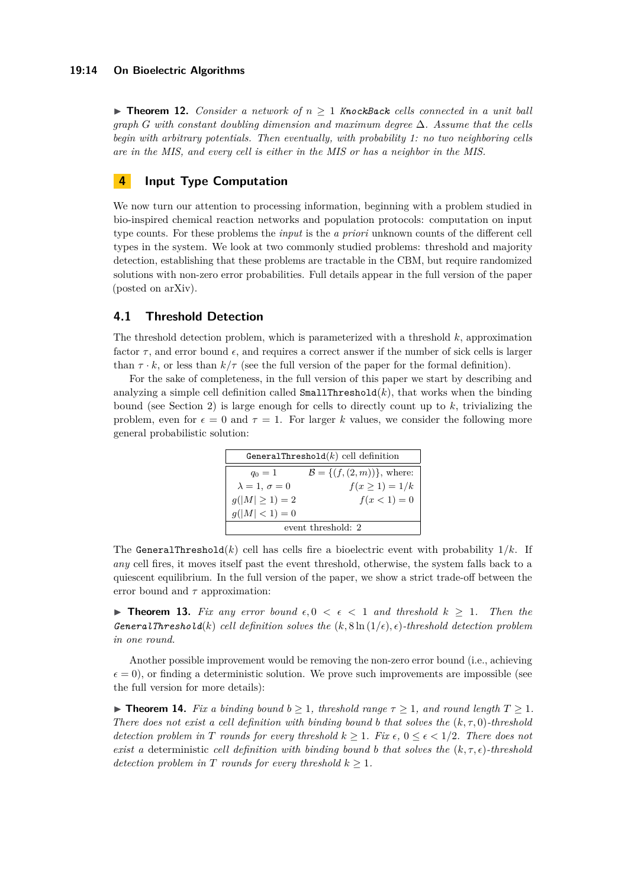#### **19:14 On Bioelectric Algorithms**

 $\triangleright$  **Theorem 12.** *Consider a network of*  $n \geq 1$  *KnockBack cells connected in a unit ball graph G with constant doubling dimension and maximum degree* ∆*. Assume that the cells begin with arbitrary potentials. Then eventually, with probability 1: no two neighboring cells are in the MIS, and every cell is either in the MIS or has a neighbor in the MIS.*

# <span id="page-13-0"></span>**4 Input Type Computation**

We now turn our attention to processing information, beginning with a problem studied in bio-inspired chemical reaction networks and population protocols: computation on input type counts. For these problems the *input* is the *a priori* unknown counts of the different cell types in the system. We look at two commonly studied problems: threshold and majority detection, establishing that these problems are tractable in the CBM, but require randomized solutions with non-zero error probabilities. Full details appear in the full version of the paper (posted on arXiv).

# <span id="page-13-1"></span>**4.1 Threshold Detection**

The threshold detection problem, which is parameterized with a threshold *k*, approximation factor  $\tau$ , and error bound  $\epsilon$ , and requires a correct answer if the number of sick cells is larger than  $\tau \cdot k$ , or less than  $k/\tau$  (see the full version of the paper for the formal definition).

For the sake of completeness, in the full version of this paper we start by describing and analyzing a simple cell definition called  $\texttt{SmallThreshold}(k)$ , that works when the binding bound (see Section [2\)](#page-5-0) is large enough for cells to directly count up to *k*, trivializing the problem, even for  $\epsilon = 0$  and  $\tau = 1$ . For larger k values, we consider the following more general probabilistic solution:

| GeneralThreshold $(k)$ cell definition |                                           |  |
|----------------------------------------|-------------------------------------------|--|
| $q_0 = 1$                              | $\mathcal{B} = \{ (f, (2, m)) \},$ where: |  |
| $\lambda = 1, \sigma = 0$              | $f(x \ge 1) = 1/k$                        |  |
| $g( M  \geq 1) = 2$                    | $f(x < 1) = 0$                            |  |
| $g( M  < 1) = 0$                       |                                           |  |
| event threshold: 2                     |                                           |  |

The GeneralThreshold $(k)$  cell has cells fire a bioelectric event with probability  $1/k$ . If *any* cell fires, it moves itself past the event threshold, otherwise, the system falls back to a quiescent equilibrium. In the full version of the paper, we show a strict trade-off between the error bound and *τ* approximation:

**► Theorem 13.** Fix any error bound  $\epsilon, 0 \leq \epsilon \leq 1$  and threshold  $k \geq 1$ . Then the *GeneralThreshold*(*k*) *cell definition solves the*  $(k, 8 \ln(1/\epsilon), \epsilon)$ *-threshold detection problem in one round.*

Another possible improvement would be removing the non-zero error bound (i.e., achieving  $\epsilon = 0$ ), or finding a deterministic solution. We prove such improvements are impossible (see the full version for more details):

**Find 14.** *Fix a binding bound*  $b \ge 1$ *, threshold range*  $\tau \ge 1$ *, and round length*  $T \ge 1$ *. There does not exist a cell definition with binding bound b that solves the*  $(k, \tau, 0)$ *-threshold detection problem in T rounds for every threshold*  $k > 1$ *. Fix*  $\epsilon$ ,  $0 \leq \epsilon \leq 1/2$ *. There does not exist a* deterministic *cell definition with binding bound b that solves the*  $(k, \tau, \epsilon)$ *-threshold detection problem in T rounds for every threshold*  $k \geq 1$ *.*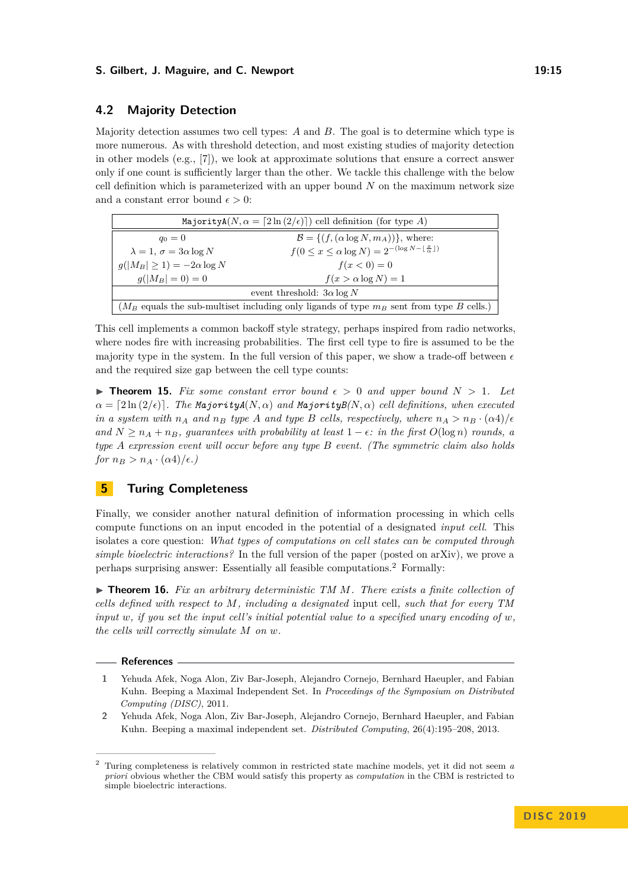#### **S. Gilbert, J. Maguire, and C. Newport 19:15** 19:15

# <span id="page-14-1"></span>**4.2 Majority Detection**

Majority detection assumes two cell types: *A* and *B*. The goal is to determine which type is more numerous. As with threshold detection, and most existing studies of majority detection in other models  $(e.g., [7])$  $(e.g., [7])$  $(e.g., [7])$ , we look at approximate solutions that ensure a correct answer only if one count is sufficiently larger than the other. We tackle this challenge with the below cell definition which is parameterized with an upper bound *N* on the maximum network size and a constant error bound  $\epsilon > 0$ :

| Majority $A(N, \alpha = [2 \ln (2/\epsilon)])$ cell definition (for type A)                   |                                                                                     |  |
|-----------------------------------------------------------------------------------------------|-------------------------------------------------------------------------------------|--|
| $q_0 = 0$                                                                                     | $\mathcal{B} = \{ (f, (\alpha \log N, m_A)) \}, \text{ where:}$                     |  |
| $\lambda = 1$ , $\sigma = 3\alpha \log N$                                                     | $f(0 \leq x \leq \alpha \log N) = 2^{-(\log N - \lfloor \frac{x}{\alpha} \rfloor)}$ |  |
| $q( M_B \geq 1)=-2\alpha\log N$                                                               | $f(x < 0) = 0$                                                                      |  |
| $g( M_B =0)=0$                                                                                | $f(x > \alpha \log N) = 1$                                                          |  |
| event threshold: $3\alpha \log N$                                                             |                                                                                     |  |
| ( $M_B$ equals the sub-multiset including only ligands of type $m_B$ sent from type B cells.) |                                                                                     |  |

This cell implements a common backoff style strategy, perhaps inspired from radio networks, where nodes fire with increasing probabilities. The first cell type to fire is assumed to be the majority type in the system. In the full version of this paper, we show a trade-off between  $\epsilon$ and the required size gap between the cell type counts:

**Figure 15.** Fix some constant error bound  $\epsilon > 0$  and upper bound  $N > 1$ . Let  $\alpha = \left[2 \ln (2/\epsilon)\right]$ . The MajorityA $(N, \alpha)$  and MajorityB $(N, \alpha)$  cell definitions, when executed *in a system with*  $n_A$  *and*  $n_B$  *type A and type B cells, respectively, where*  $n_A > n_B \cdot (\alpha 4)/\epsilon$ *and*  $N \ge n_A + n_B$ , guarantees with probability at least  $1 - \epsilon$ : in the first  $O(\log n)$  *rounds, a type A expression event will occur before any type B event. (The symmetric claim also holds for*  $n_B > n_A \cdot (\alpha 4)/\epsilon$ .)

# <span id="page-14-2"></span>**5 Turing Completeness**

Finally, we consider another natural definition of information processing in which cells compute functions on an input encoded in the potential of a designated *input cell*. This isolates a core question: *What types of computations on cell states can be computed through simple bioelectric interactions?* In the full version of the paper (posted on arXiv), we prove a perhaps surprising answer: Essentially all feasible computations.[2](#page-14-4) Formally:

▶ **Theorem 16.** *Fix an arbitrary deterministic TM M. There exists a finite collection of cells defined with respect to M, including a designated* input cell*, such that for every TM input*  $w$ *, if you set the input cell's initial potential value to a specified unary encoding of*  $w$ *, the cells will correctly simulate M on w.*

#### **References**

- <span id="page-14-3"></span>**1** Yehuda Afek, Noga Alon, Ziv Bar-Joseph, Alejandro Cornejo, Bernhard Haeupler, and Fabian Kuhn. Beeping a Maximal Independent Set. In *Proceedings of the Symposium on Distributed Computing (DISC)*, 2011.
- <span id="page-14-0"></span>**2** Yehuda Afek, Noga Alon, Ziv Bar-Joseph, Alejandro Cornejo, Bernhard Haeupler, and Fabian Kuhn. Beeping a maximal independent set. *Distributed Computing*, 26(4):195–208, 2013.

<span id="page-14-4"></span><sup>2</sup> Turing completeness is relatively common in restricted state machine models, yet it did not seem *a priori* obvious whether the CBM would satisfy this property as *computation* in the CBM is restricted to simple bioelectric interactions.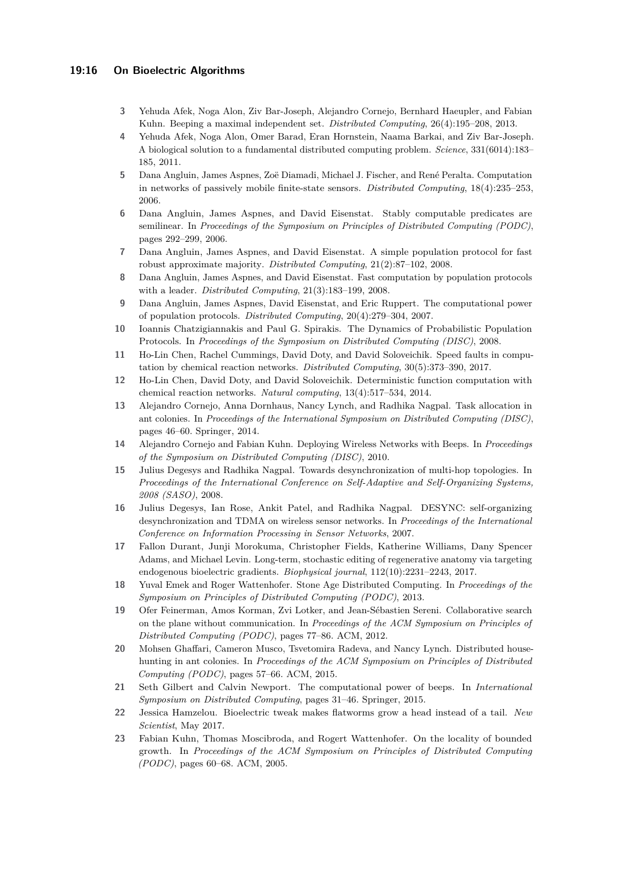### **19:16 On Bioelectric Algorithms**

- <span id="page-15-20"></span>**3** Yehuda Afek, Noga Alon, Ziv Bar-Joseph, Alejandro Cornejo, Bernhard Haeupler, and Fabian Kuhn. Beeping a maximal independent set. *Distributed Computing*, 26(4):195–208, 2013.
- <span id="page-15-4"></span>**4** Yehuda Afek, Noga Alon, Omer Barad, Eran Hornstein, Naama Barkai, and Ziv Bar-Joseph. A biological solution to a fundamental distributed computing problem. *Science*, 331(6014):183– 185, 2011.
- <span id="page-15-5"></span>**5** Dana Angluin, James Aspnes, Zoë Diamadi, Michael J. Fischer, and René Peralta. Computation in networks of passively mobile finite-state sensors. *Distributed Computing*, 18(4):235–253, 2006.
- <span id="page-15-11"></span>**6** Dana Angluin, James Aspnes, and David Eisenstat. Stably computable predicates are semilinear. In *Proceedings of the Symposium on Principles of Distributed Computing (PODC)*, pages 292–299, 2006.
- <span id="page-15-6"></span>**7** Dana Angluin, James Aspnes, and David Eisenstat. A simple population protocol for fast robust approximate majority. *Distributed Computing*, 21(2):87–102, 2008.
- <span id="page-15-9"></span>**8** Dana Angluin, James Aspnes, and David Eisenstat. Fast computation by population protocols with a leader. *Distributed Computing*, 21(3):183–199, 2008.
- <span id="page-15-10"></span>**9** Dana Angluin, James Aspnes, David Eisenstat, and Eric Ruppert. The computational power of population protocols. *Distributed Computing*, 20(4):279–304, 2007.
- <span id="page-15-12"></span>**10** Ioannis Chatzigiannakis and Paul G. Spirakis. The Dynamics of Probabilistic Population Protocols. In *Proceedings of the Symposium on Distributed Computing (DISC)*, 2008.
- <span id="page-15-8"></span>**11** Ho-Lin Chen, Rachel Cummings, David Doty, and David Soloveichik. Speed faults in computation by chemical reaction networks. *Distributed Computing*, 30(5):373–390, 2017.
- <span id="page-15-7"></span>**12** Ho-Lin Chen, David Doty, and David Soloveichik. Deterministic function computation with chemical reaction networks. *Natural computing*, 13(4):517–534, 2014.
- <span id="page-15-14"></span>**13** Alejandro Cornejo, Anna Dornhaus, Nancy Lynch, and Radhika Nagpal. Task allocation in ant colonies. In *Proceedings of the International Symposium on Distributed Computing (DISC)*, pages 46–60. Springer, 2014.
- <span id="page-15-19"></span>**14** Alejandro Cornejo and Fabian Kuhn. Deploying Wireless Networks with Beeps. In *Proceedings of the Symposium on Distributed Computing (DISC)*, 2010.
- <span id="page-15-18"></span>**15** Julius Degesys and Radhika Nagpal. Towards desynchronization of multi-hop topologies. In *Proceedings of the International Conference on Self-Adaptive and Self-Organizing Systems, 2008 (SASO)*, 2008.
- <span id="page-15-17"></span>**16** Julius Degesys, Ian Rose, Ankit Patel, and Radhika Nagpal. DESYNC: self-organizing desynchronization and TDMA on wireless sensor networks. In *Proceedings of the International Conference on Information Processing in Sensor Networks*, 2007.
- <span id="page-15-0"></span>**17** Fallon Durant, Junji Morokuma, Christopher Fields, Katherine Williams, Dany Spencer Adams, and Michael Levin. Long-term, stochastic editing of regenerative anatomy via targeting endogenous bioelectric gradients. *Biophysical journal*, 112(10):2231–2243, 2017.
- <span id="page-15-16"></span>**18** Yuval Emek and Roger Wattenhofer. Stone Age Distributed Computing. In *Proceedings of the Symposium on Principles of Distributed Computing (PODC)*, 2013.
- <span id="page-15-13"></span>**19** Ofer Feinerman, Amos Korman, Zvi Lotker, and Jean-Sébastien Sereni. Collaborative search on the plane without communication. In *Proceedings of the ACM Symposium on Principles of Distributed Computing (PODC)*, pages 77–86. ACM, 2012.
- <span id="page-15-15"></span>**20** Mohsen Ghaffari, Cameron Musco, Tsvetomira Radeva, and Nancy Lynch. Distributed househunting in ant colonies. In *Proceedings of the ACM Symposium on Principles of Distributed Computing (PODC)*, pages 57–66. ACM, 2015.
- <span id="page-15-2"></span>**21** Seth Gilbert and Calvin Newport. The computational power of beeps. In *International Symposium on Distributed Computing*, pages 31–46. Springer, 2015.
- <span id="page-15-1"></span>**22** Jessica Hamzelou. Bioelectric tweak makes flatworms grow a head instead of a tail. *New Scientist*, May 2017.
- <span id="page-15-3"></span>**23** Fabian Kuhn, Thomas Moscibroda, and Rogert Wattenhofer. On the locality of bounded growth. In *Proceedings of the ACM Symposium on Principles of Distributed Computing (PODC)*, pages 60–68. ACM, 2005.